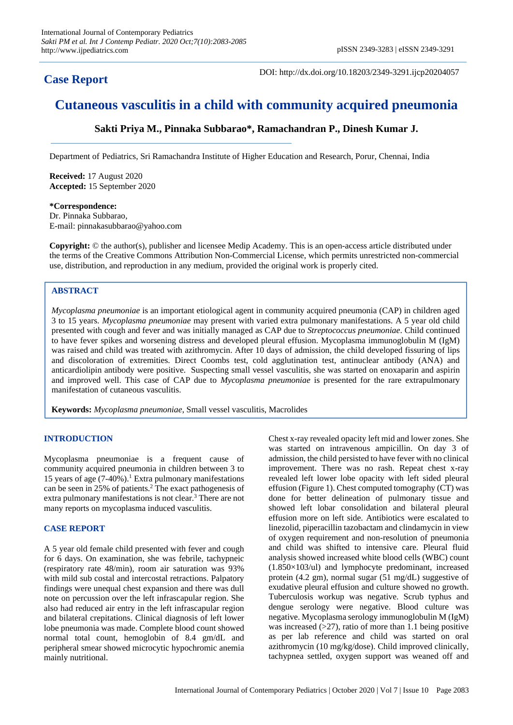# **Case Report**

DOI: http://dx.doi.org/10.18203/2349-3291.ijcp20204057

# **Cutaneous vasculitis in a child with community acquired pneumonia**

**Sakti Priya M., Pinnaka Subbarao\*, Ramachandran P., Dinesh Kumar J.**

Department of Pediatrics, Sri Ramachandra Institute of Higher Education and Research, Porur, Chennai, India

**Received:** 17 August 2020 **Accepted:** 15 September 2020

**\*Correspondence:** Dr. Pinnaka Subbarao, E-mail: pinnakasubbarao@yahoo.com

**Copyright:** © the author(s), publisher and licensee Medip Academy. This is an open-access article distributed under the terms of the Creative Commons Attribution Non-Commercial License, which permits unrestricted non-commercial use, distribution, and reproduction in any medium, provided the original work is properly cited.

#### **ABSTRACT**

*Mycoplasma pneumoniae* is an important etiological agent in community acquired pneumonia (CAP) in children aged 3 to 15 years. *Mycoplasma pneumoniae* may present with varied extra pulmonary manifestations. A 5 year old child presented with cough and fever and was initially managed as CAP due to *Streptococcus pneumoniae*. Child continued to have fever spikes and worsening distress and developed pleural effusion. Mycoplasma immunoglobulin M (IgM) was raised and child was treated with azithromycin. After 10 days of admission, the child developed fissuring of lips and discoloration of extremities. Direct Coombs test, cold agglutination test, antinuclear antibody (ANA) and anticardiolipin antibody were positive. Suspecting small vessel vasculitis, she was started on enoxaparin and aspirin and improved well. This case of CAP due to *Mycoplasma pneumoniae* is presented for the rare extrapulmonary manifestation of cutaneous vasculitis.

**Keywords:** *Mycoplasma pneumoniae*, Small vessel vasculitis, Macrolides

## **INTRODUCTION**

Mycoplasma pneumoniae is a frequent cause of community acquired pneumonia in children between 3 to 15 years of age  $(7-40\%)$ .<sup>1</sup> Extra pulmonary manifestations can be seen in 25% of patients.<sup>2</sup> The exact pathogenesis of extra pulmonary manifestations is not clear.<sup>3</sup> There are not many reports on mycoplasma induced vasculitis.

#### **CASE REPORT**

A 5 year old female child presented with fever and cough for 6 days. On examination, she was febrile, tachypneic (respiratory rate 48/min), room air saturation was 93% with mild sub costal and intercostal retractions. Palpatory findings were unequal chest expansion and there was dull note on percussion over the left infrascapular region. She also had reduced air entry in the left infrascapular region and bilateral crepitations. Clinical diagnosis of left lower lobe pneumonia was made. Complete blood count showed normal total count, hemoglobin of 8.4 gm/dL and peripheral smear showed microcytic hypochromic anemia mainly nutritional.

Chest x-ray revealed opacity left mid and lower zones. She was started on intravenous ampicillin. On day 3 of admission, the child persisted to have fever with no clinical improvement. There was no rash. Repeat chest x-ray revealed left lower lobe opacity with left sided pleural effusion (Figure 1). Chest computed tomography (CT) was done for better delineation of pulmonary tissue and showed left lobar consolidation and bilateral pleural effusion more on left side. Antibiotics were escalated to linezolid, piperacillin tazobactam and clindamycin in view of oxygen requirement and non-resolution of pneumonia and child was shifted to intensive care. Pleural fluid analysis showed increased white blood cells (WBC) count (1.850×103/ul) and lymphocyte predominant, increased protein (4.2 gm), normal sugar (51 mg/dL) suggestive of exudative pleural effusion and culture showed no growth. Tuberculosis workup was negative. Scrub typhus and dengue serology were negative. Blood culture was negative. Mycoplasma serology immunoglobulin M (IgM) was increased  $(>27)$ , ratio of more than 1.1 being positive as per lab reference and child was started on oral azithromycin (10 mg/kg/dose). Child improved clinically, tachypnea settled, oxygen support was weaned off and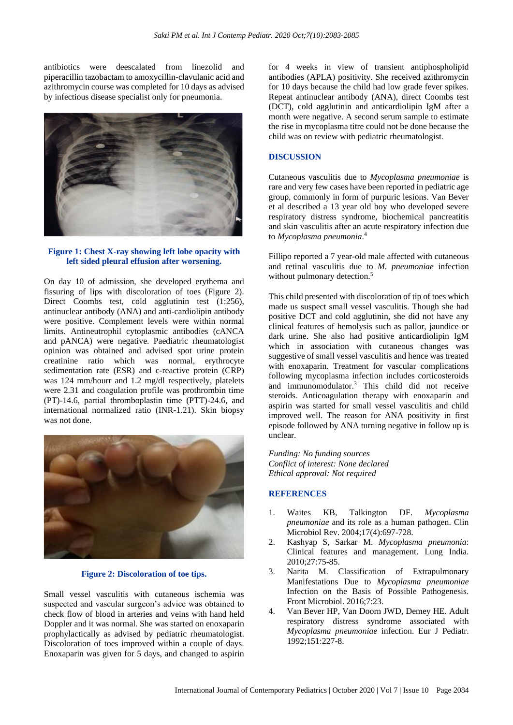antibiotics were deescalated from linezolid and piperacillin tazobactam to amoxycillin-clavulanic acid and azithromycin course was completed for 10 days as advised by infectious disease specialist only for pneumonia.



#### **Figure 1: Chest X-ray showing left lobe opacity with left sided pleural effusion after worsening.**

On day 10 of admission, she developed erythema and fissuring of lips with discoloration of toes (Figure 2). Direct Coombs test, cold agglutinin test (1:256), antinuclear antibody (ANA) and anti-cardiolipin antibody were positive. Complement levels were within normal limits. Antineutrophil cytoplasmic antibodies (cANCA and pANCA) were negative. Paediatric rheumatologist opinion was obtained and advised spot urine protein creatinine ratio which was normal, erythrocyte sedimentation rate (ESR) and c-reactive protein (CRP) was 124 mm/hourr and 1.2 mg/dl respectively, platelets were 2.31 and coagulation profile was prothrombin time (PT)-14.6, partial thromboplastin time (PTT)-24.6, and international normalized ratio (INR-1.21). Skin biopsy was not done.



### **Figure 2: Discoloration of toe tips.**

Small vessel vasculitis with cutaneous ischemia was suspected and vascular surgeon's advice was obtained to check flow of blood in arteries and veins with hand held Doppler and it was normal. She was started on enoxaparin prophylactically as advised by pediatric rheumatologist. Discoloration of toes improved within a couple of days. Enoxaparin was given for 5 days, and changed to aspirin for 4 weeks in view of transient antiphospholipid antibodies (APLA) positivity. She received azithromycin for 10 days because the child had low grade fever spikes. Repeat antinuclear antibody (ANA), direct Coombs test (DCT), cold agglutinin and anticardiolipin IgM after a month were negative. A second serum sample to estimate the rise in mycoplasma titre could not be done because the child was on review with pediatric rheumatologist.

#### **DISCUSSION**

Cutaneous vasculitis due to *Mycoplasma pneumoniae* is rare and very few cases have been reported in pediatric age group, commonly in form of purpuric lesions. Van Bever et al described a 13 year old boy who developed severe respiratory distress syndrome, biochemical pancreatitis and skin vasculitis after an acute respiratory infection due to *Mycoplasma pneumonia*. 4

Fillipo reported a 7 year-old male affected with cutaneous and retinal vasculitis due to *M. pneumoniae* infection without pulmonary detection.<sup>5</sup>

This child presented with discoloration of tip of toes which made us suspect small vessel vasculitis. Though she had positive DCT and cold agglutinin, she did not have any clinical features of hemolysis such as pallor, jaundice or dark urine. She also had positive anticardiolipin IgM which in association with cutaneous changes was suggestive of small vessel vasculitis and hence was treated with enoxaparin. Treatment for vascular complications following mycoplasma infection includes corticosteroids and immunomodulator.<sup>3</sup> This child did not receive steroids. Anticoagulation therapy with enoxaparin and aspirin was started for small vessel vasculitis and child improved well. The reason for ANA positivity in first episode followed by ANA turning negative in follow up is unclear.

*Funding: No funding sources Conflict of interest: None declared Ethical approval: Not required*

#### **REFERENCES**

- 1. Waites KB, Talkington DF. *Mycoplasma pneumoniae* and its role as a human pathogen. Clin Microbiol Rev. 2004;17(4):697-728.
- 2. Kashyap S, Sarkar M. *Mycoplasma pneumonia*: Clinical features and management. Lung India. 2010;27:75-85.
- 3. Narita M. Classification of Extrapulmonary Manifestations Due to *Mycoplasma pneumoniae* Infection on the Basis of Possible Pathogenesis. Front Microbiol. 2016;7:23.
- 4. Van Bever HP, Van Doorn JWD, Demey HE. Adult respiratory distress syndrome associated with *Mycoplasma pneumoniae* infection. Eur J Pediatr. 1992;151:227-8.